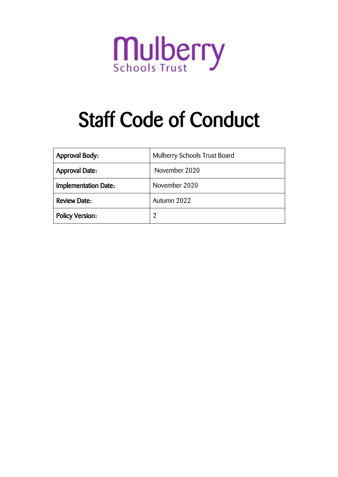

# Staff Code of Conduct

| <b>Approval Body:</b>  | <b>Mulberry Schools Trust Board</b> |
|------------------------|-------------------------------------|
| <b>Approval Date:</b>  | November 2020                       |
| Implementation Date:   | November 2020                       |
| <b>Review Date:</b>    | Autumn 2022                         |
| <b>Policy Version:</b> | 2                                   |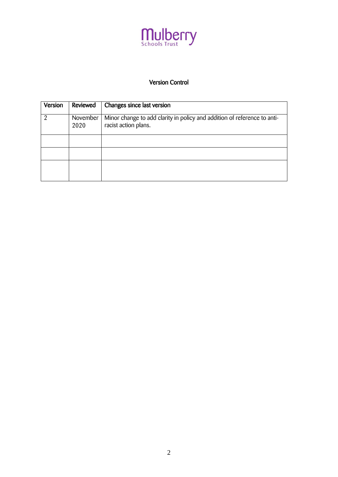

# Version Control

| Version | Reviewed         | Changes since last version                                                                       |
|---------|------------------|--------------------------------------------------------------------------------------------------|
| 2       | November<br>2020 | Minor change to add clarity in policy and addition of reference to anti-<br>racist action plans. |
|         |                  |                                                                                                  |
|         |                  |                                                                                                  |
|         |                  |                                                                                                  |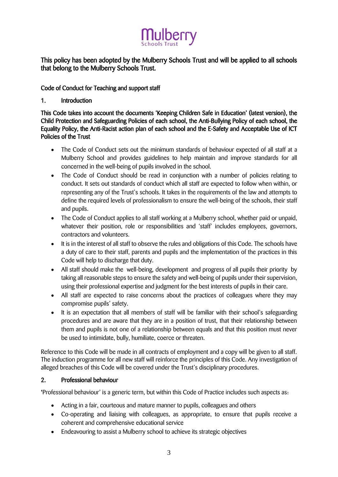# ulberry

# This policy has been adopted by the Mulberry Schools Trust and will be applied to all schools that belong to the Mulberry Schools Trust.

# Code of Conduct for Teaching and support staff

# 1. Introduction

This Code takes into account the documents 'Keeping Children Safe in Education' (latest version), the Child Protection and Safeguarding Policies of each school, the Anti-Bullying Policy of each school, the Equality Policy, the Anti-Racist action plan of each school and the E-Safety and Acceptable Use of ICT Policies of the Trust

- The Code of Conduct sets out the minimum standards of behaviour expected of all staff at a Mulberry School and provides guidelines to help maintain and improve standards for all concerned in the well-being of pupils involved in the school.
- The Code of Conduct should be read in conjunction with a number of policies relating to conduct. It sets out standards of conduct which all staff are expected to follow when within, or representing any of the Trust's schools. It takes in the requirements of the law and attempts to define the required levels of professionalism to ensure the well-being of the schools, their staff and pupils.
- The Code of Conduct applies to all staff working at a Mulberry school, whether paid or unpaid, whatever their position, role or responsibilities and 'staff' includes employees, governors, contractors and volunteers.
- It is in the interest of all staff to observe the rules and obligations of this Code. The schools have a duty of care to their staff, parents and pupils and the implementation of the practices in this Code will help to discharge that duty.
- All staff should make the well-being, development and progress of all pupils their priority by taking all reasonable steps to ensure the safety and well-being of pupils under their supervision, using their professional expertise and judgment for the best interests of pupils in their care.
- All staff are expected to raise concerns about the practices of colleagues where they may compromise pupils' safety.
- It is an expectation that all members of staff will be familiar with their school's safeguarding procedures and are aware that they are in a position of trust, that their relationship between them and pupils is not one of a relationship between equals and that this position must never be used to intimidate, bully, humiliate, coerce or threaten.

Reference to this Code will be made in all contracts of employment and a copy will be given to all staff. The induction programme for all new staff will reinforce the principles of this Code. Any investigation of alleged breaches of this Code will be covered under the Trust's disciplinary procedures.

# 2. Professional behaviour

'Professional behaviour' is a generic term, but within this Code of Practice includes such aspects as:

- Acting in a fair, courteous and mature manner to pupils, colleagues and others
- Co-operating and liaising with colleagues, as appropriate, to ensure that pupils receive a coherent and comprehensive educational service
- Endeavouring to assist a Mulberry school to achieve its strategic objectives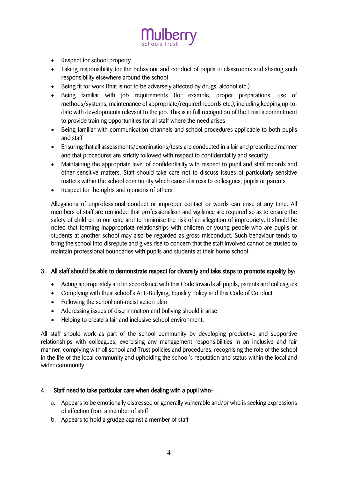

- Respect for school property
- Taking responsibility for the behaviour and conduct of pupils in classrooms and sharing such responsibility elsewhere around the school
- Being fit for work (that is not to be adversely affected by drugs, alcohol etc.)
- Being familiar with job requirements (for example, proper preparations, use of methods/systems, maintenance of appropriate/required records etc.), including keeping up-todate with developments relevant to the job. This is in full recognition of the Trust's commitment to provide training opportunities for all staff where the need arises
- Being familiar with communication channels and school procedures applicable to both pupils and staff
- Ensuring that all assessments/examinations/tests are conducted in a fair and prescribed manner and that procedures are strictly followed with respect to confidentiality and security
- Maintaining the appropriate level of confidentiality with respect to pupil and staff records and other sensitive matters. Staff should take care not to discuss issues of particularly sensitive matters within the school community which cause distress to colleagues, pupils or parents
- Respect for the rights and opinions of others

Allegations of unprofessional conduct or improper contact or words can arise at any time. All members of staff are reminded that professionalism and vigilance are required so as to ensure the safety of children in our care and to minimise the risk of an allegation of impropriety. It should be noted that forming inappropriate relationships with children or young people who are pupils or students at another school may also be regarded as gross misconduct. Such behaviour tends to bring the school into disrepute and gives rise to concern that the staff involved cannot be trusted to maintain professional boundaries with pupils and students at their home school.

# 3. All staff should be able to demonstrate respect for diversity and take steps to promote equality by:

- Acting appropriately and in accordance with this Code towards all pupils, parents and colleagues
- Complying with their school's Anti-Bullying, Equality Policy and this Code of Conduct
- Following the school anti-racist action plan
- Addressing issues of discrimination and bullying should it arise
- Helping to create a fair and inclusive school environment.

All staff should work as part of the school community by developing productive and supportive relationships with colleagues, exercising any management responsibilities in an inclusive and fair manner, complying with all school and Trust policies and procedures, recognising the role of the school in the life of the local community and upholding the school's reputation and status within the local and wider community.

#### 4. Staff need to take particular care when dealing with a pupil who:

- a. Appears to be emotionally distressed or generally vulnerable and/or who is seeking expressions of affection from a member of staff
- b. Appears to hold a grudge against a member of staff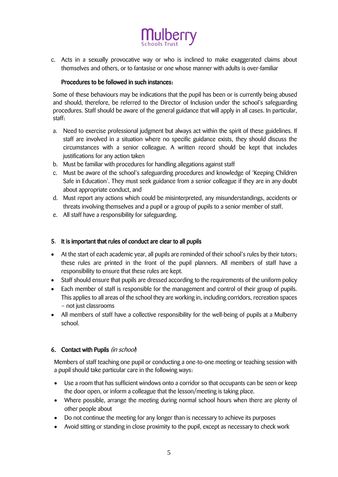

c. Acts in a sexually provocative way or who is inclined to make exaggerated claims about themselves and others, or to fantasise or one whose manner with adults is over-familiar

# Procedures to be followed in such instances:

Some of these behaviours may be indications that the pupil has been or is currently being abused and should, therefore, be referred to the Director of Inclusion under the school's safeguarding procedures. Staff should be aware of the general guidance that will apply in all cases. In particular, staff:

- a. Need to exercise professional judgment but always act within the spirit of these guidelines. If staff are involved in a situation where no specific guidance exists, they should discuss the circumstances with a senior colleague. A written record should be kept that includes justifications for any action taken
- b. Must be familiar with procedures for handling allegations against staff
- c. Must be aware of the school's safeguarding procedures and knowledge of 'Keeping Children Safe in Education'. They must seek guidance from a senior colleague if they are in any doubt about appropriate conduct, and
- d. Must report any actions which could be misinterpreted, any misunderstandings, accidents or threats involving themselves and a pupil or a group of pupils to a senior member of staff.
- e. All staff have a responsibility for safeguarding.

# 5. It is important that rules of conduct are clear to all pupils

- At the start of each academic year, all pupils are reminded of their school's rules by their tutors; these rules are printed in the front of the pupil planners. All members of staff have a responsibility to ensure that these rules are kept.
- Staff should ensure that pupils are dressed according to the requirements of the uniform policy
- Each member of staff is responsible for the management and control of their group of pupils. This applies to all areas of the school they are working in, including corridors, recreation spaces – not just classrooms
- All members of staff have a collective responsibility for the well-being of pupils at a Mulberry school.

# 6. Contact with Pupils (in school)

Members of staff teaching one pupil or conducting a one-to-one meeting or teaching session with a pupil should take particular care in the following ways:

- Use a room that has sufficient windows onto a corridor so that occupants can be seen or keep the door open, or inform a colleague that the lesson/meeting is taking place.
- Where possible, arrange the meeting during normal school hours when there are plenty of other people about
- Do not continue the meeting for any longer than is necessary to achieve its purposes
- Avoid sitting or standing in close proximity to the pupil, except as necessary to check work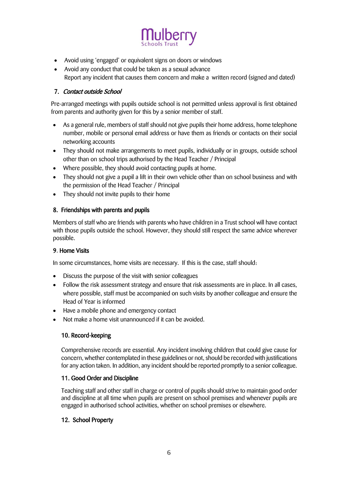

- Avoid using 'engaged' or equivalent signs on doors or windows
- Avoid any conduct that could be taken as a sexual advance Report any incident that causes them concern and make a written record (signed and dated)

# 7. Contact outside School

Pre-arranged meetings with pupils outside school is not permitted unless approval is first obtained from parents and authority given for this by a senior member of staff.

- As a general rule, members of staff should not give pupils their home address, home telephone number, mobile or personal email address or have them as friends or contacts on their social networking accounts
- They should not make arrangements to meet pupils, individually or in groups, outside school other than on school trips authorised by the Head Teacher / Principal
- Where possible, they should avoid contacting pupils at home.
- They should not give a pupil a lift in their own vehicle other than on school business and with the permission of the Head Teacher / Principal
- They should not invite pupils to their home

# 8. Friendships with parents and pupils

Members of staff who are friends with parents who have children in a Trust school will have contact with those pupils outside the school. However, they should still respect the same advice wherever possible.

# 9. Home Visits

In some circumstances, home visits are necessary. If this is the case, staff should:

- Discuss the purpose of the visit with senior colleagues
- Follow the risk assessment strategy and ensure that risk assessments are in place. In all cases, where possible, staff must be accompanied on such visits by another colleague and ensure the Head of Year is informed
- Have a mobile phone and emergency contact
- Not make a home visit unannounced if it can be avoided.

# 10. Record-keeping

Comprehensive records are essential. Any incident involving children that could give cause for concern, whether contemplated in these guidelines or not, should be recorded with justifications for any action taken. In addition, any incident should be reported promptly to a senior colleague.

# 11. Good Order and Discipline

Teaching staff and other staff in charge or control of pupils should strive to maintain good order and discipline at all time when pupils are present on school premises and whenever pupils are engaged in authorised school activities, whether on school premises or elsewhere.

# 12. School Property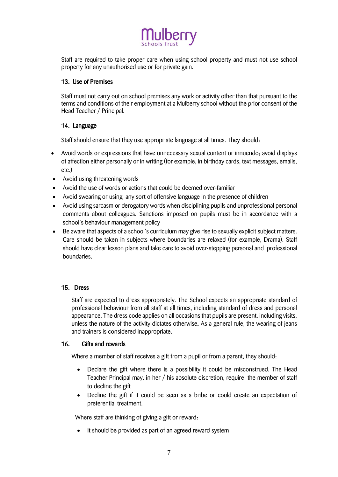

Staff are required to take proper care when using school property and must not use school property for any unauthorised use or for private gain.

#### 13. Use of Premises

Staff must not carry out on school premises any work or activity other than that pursuant to the terms and conditions of their employment at a Mulberry school without the prior consent of the Head Teacher / Principal.

# 14. Language

Staff should ensure that they use appropriate language at all times. They should:

- Avoid words or expressions that have unnecessary sexual content or innuendo; avoid displays of affection either personally or in writing (for example, in birthday cards, text messages, emails, etc.)
- Avoid using threatening words
- Avoid the use of words or actions that could be deemed over-familiar
- Avoid swearing or using any sort of offensive language in the presence of children
- Avoid using sarcasm or derogatory words when disciplining pupils and unprofessional personal comments about colleagues. Sanctions imposed on pupils must be in accordance with a school's behaviour management policy
- Be aware that aspects of a school's curriculum may give rise to sexually explicit subject matters. Care should be taken in subjects where boundaries are relaxed (for example, Drama). Staff should have clear lesson plans and take care to avoid over-stepping personal and professional boundaries.

#### 15. Dress

Staff are expected to dress appropriately. The School expects an appropriate standard of professional behaviour from all staff at all times, including standard of dress and personal appearance. The dress code applies on all occasions that pupils are present, including visits, unless the nature of the activity dictates otherwise. As a general rule, the wearing of jeans and trainers is considered inappropriate.

#### 16. Gifts and rewards

Where a member of staff receives a gift from a pupil or from a parent, they should:

- Declare the gift where there is a possibility it could be misconstrued. The Head Teacher Principal may, in her / his absolute discretion, require the member of staff to decline the gift
- Decline the gift if it could be seen as a bribe or could create an expectation of preferential treatment.

Where staff are thinking of giving a gift or reward:

• It should be provided as part of an agreed reward system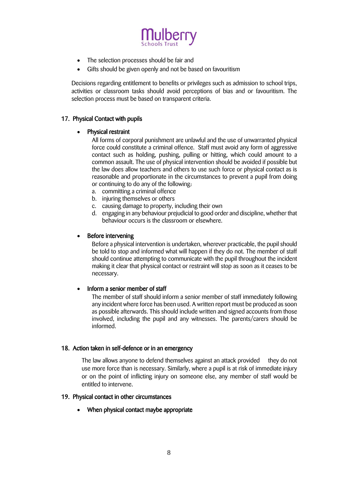

- The selection processes should be fair and
- Gifts should be given openly and not be based on favouritism

Decisions regarding entitlement to benefits or privileges such as admission to school trips, activities or classroom tasks should avoid perceptions of bias and or favouritism. The selection process must be based on transparent criteria.

# 17. Physical Contact with pupils

#### Physical restraint

All forms of corporal punishment are unlawful and the use of unwarranted physical force could constitute a criminal offence. Staff must avoid any form of aggressive contact such as holding, pushing, pulling or hitting, which could amount to a common assault. The use of physical intervention should be avoided if possible but the law does allow teachers and others to use such force or physical contact as is reasonable and proportionate in the circumstances to prevent a pupil from doing or continuing to do any of the following:

- a. committing a criminal offence
- b. injuring themselves or others
- c. causing damage to property, including their own
- d. engaging in any behaviour prejudicial to good order and discipline, whether that behaviour occurs is the classroom or elsewhere.

#### Before intervening

Before a physical intervention is undertaken, wherever practicable, the pupil should be told to stop and informed what will happen if they do not. The member of staff should continue attempting to communicate with the pupil throughout the incident making it clear that physical contact or restraint will stop as soon as it ceases to be necessary.

#### • Inform a senior member of staff

The member of staff should inform a senior member of staff immediately following any incident where force has been used. A written report must be produced as soon as possible afterwards. This should include written and signed accounts from those involved, including the pupil and any witnesses. The parents/carers should be informed.

#### 18. Action taken in self-defence or in an emergency

The law allows anyone to defend themselves against an attack provided they do not use more force than is necessary. Similarly, where a pupil is at risk of immediate injury or on the point of inflicting injury on someone else, any member of staff would be entitled to intervene.

#### 19. Physical contact in other circumstances

When physical contact maybe appropriate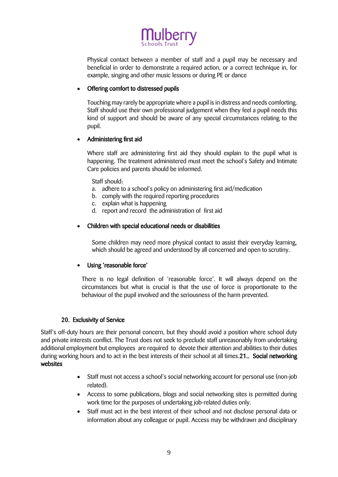

Physical contact between a member of staff and a pupil may be necessary and beneficial in order to demonstrate a required action, or a correct technique in, for example, singing and other music lessons or during PE or dance

# Offering comfort to distressed pupils

Touching may rarely be appropriate where a pupil is in distress and needs comforting. Staff should use their own professional judgement when they feel a pupil needs this kind of support and should be aware of any special circumstances relating to the pupil.

#### Administering first aid

Where staff are administering first aid they should explain to the pupil what is happening. The treatment administered must meet the school's Safety and Intimate Care policies and parents should be informed.

Staff should:

- a. adhere to a school's policy on administering first aid/medication
- b. comply with the required reporting procedures
- c. explain what is happening
- d. report and record the administration of first aid

#### Children with special educational needs or disabilities

Some children may need more physical contact to assist their everyday learning, which should be agreed and understood by all concerned and open to scrutiny.

#### Using 'reasonable force'

There is no legal definition of 'reasonable force'. It will always depend on the circumstances but what is crucial is that the use of force is proportionate to the behaviour of the pupil involved and the seriousness of the harm prevented.

#### 20. Exclusivity of Service

Staff's off-duty hours are their personal concern, but they should avoid a position where school duty and private interests conflict. The Trust does not seek to preclude staff unreasonably from undertaking additional employment but employees are required to devote their attention and abilities to their duties during working hours and to act in the best interests of their school at all times. 21. Social networking websites

- Staff must not access a school's social networking account for personal use (non-job related).
- Access to some publications, blogs and social networking sites is permitted during work time for the purposes of undertaking job-related duties only.
- Staff must act in the best interest of their school and not disclose personal data or information about any colleague or pupil. Access may be withdrawn and disciplinary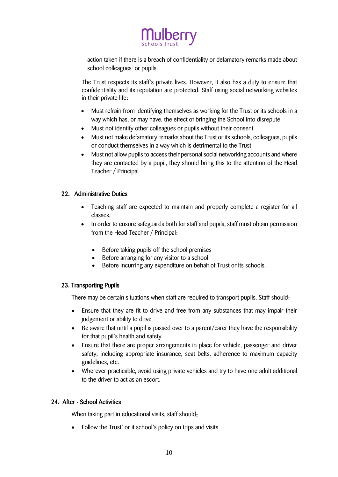

action taken if there is a breach of confidentiality or defamatory remarks made about school colleagues or pupils.

The Trust respects its staff's private lives. However, it also has a duty to ensure that confidentiality and its reputation are protected. Staff using social networking websites in their private life:

- Must refrain from identifying themselves as working for the Trust or its schools in a way which has, or may have, the effect of bringing the School into disrepute
- Must not identify other colleagues or pupils without their consent
- Must not make defamatory remarks about the Trust or its schools, colleagues, pupils or conduct themselves in a way which is detrimental to the Trust
- Must not allow pupils to access their personal social networking accounts and where they are contacted by a pupil, they should bring this to the attention of the Head Teacher / Principal

#### 22. Administrative Duties

- Teaching staff are expected to maintain and properly complete a register for all classes.
- In order to ensure safeguards both for staff and pupils, staff must obtain permission from the Head Teacher / Principal:
	- Before taking pupils off the school premises
	- Before arranging for any visitor to a school
	- Before incurring any expenditure on behalf of Trust or its schools.

#### 23. Transporting Pupils

There may be certain situations when staff are required to transport pupils. Staff should:

- Ensure that they are fit to drive and free from any substances that may impair their judgement or ability to drive
- Be aware that until a pupil is passed over to a parent/carer they have the responsibility for that pupil's health and safety
- Ensure that there are proper arrangements in place for vehicle, passenger and driver safety, including appropriate insurance, seat belts, adherence to maximum capacity guidelines, etc.
- Wherever practicable, avoid using private vehicles and try to have one adult additional to the driver to act as an escort.

# 24. After - School Activities

When taking part in educational visits, staff should:

Follow the Trust' or it school's policy on trips and visits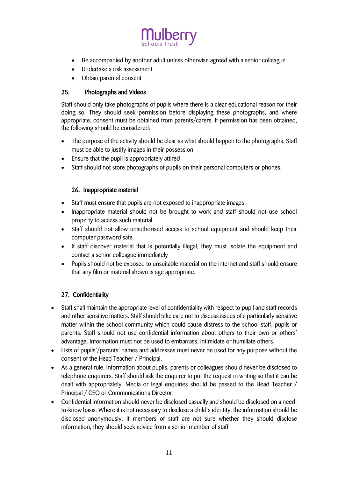

- Be accompanied by another adult unless otherwise agreed with a senior colleague
- Undertake a risk assessment
- Obtain parental consent

# 25. Photographs and Videos

Staff should only take photographs of pupils where there is a clear educational reason for their doing so. They should seek permission before displaying these photographs, and where appropriate, consent must be obtained from parents/carers. If permission has been obtained, the following should be considered:

- The purpose of the activity should be clear as what should happen to the photographs. Staff must be able to justify images in their possession
- Ensure that the pupil is appropriately attired
- Staff should not store photographs of pupils on their personal computers or phones.

# 26. Inappropriate material

- Staff must ensure that pupils are not exposed to inappropriate images
- Inappropriate material should not be brought to work and staff should not use school property to access such material
- Staff should not allow unauthorised access to school equipment and should keep their computer password safe
- If staff discover material that is potentially illegal, they must isolate the equipment and contact a senior colleague immediately
- Pupils should not be exposed to unsuitable material on the internet and staff should ensure that any film or material shown is age appropriate.

# 27. Confidentiality

- Staff shall maintain the appropriate level of confidentiality with respect to pupil and staff records and other sensitive matters. Staff should take care not to discuss issues of a particularly sensitive matter within the school community which could cause distress to the school staff, pupils or parents. Staff should not use confidential information about others to their own or others' advantage. Information must not be used to embarrass, intimidate or humiliate others.
- Lists of pupils'/parents' names and addresses must never be used for any purpose without the consent of the Head Teacher / Principal.
- As a general rule, information about pupils, parents or colleagues should never be disclosed to telephone enquirers. Staff should ask the enquirer to put the request in writing so that it can be dealt with appropriately. Media or legal enquiries should be passed to the Head Teacher / Principal / CEO or Communications Director.
- Confidential information should never be disclosed casually and should be disclosed on a needto-know basis. Where it is not necessary to disclose a child's identity, the information should be disclosed anonymously. If members of staff are not sure whether they should disclose information, they should seek advice from a senior member of staff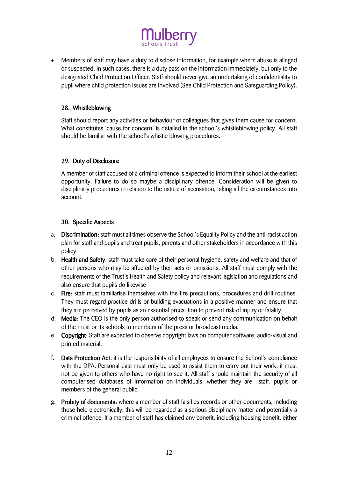

 Members of staff may have a duty to disclose information, for example where abuse is alleged or suspected. In such cases, there is a duty pass on the information immediately, but only to the designated Child Protection Officer. Staff should never give an undertaking of confidentiality to pupil where child protection issues are involved (See Child Protection and Safeguarding Policy).

#### 28. Whistleblowing

Staff should report any activities or behaviour of colleagues that gives them cause for concern. What constitutes 'cause for concern' is detailed in the school's whistleblowing policy. All staff should be familiar with the school's whistle blowing procedures.

#### 29. Duty of Disclosure

A member of staff accused of a criminal offence is expected to inform their school at the earliest opportunity. Failure to do so maybe a disciplinary offence. Consideration will be given to disciplinary procedures in relation to the nature of accusation, taking all the circumstances into account.

#### 30. Specific Aspects

- a. Discrimination: staff must all times observe the School's Equality Policy and the anti-racist action plan for staff and pupils and treat pupils, parents and other stakeholders in accordance with this policy
- b. Health and Safety: staff must take care of their personal hygiene, safety and welfare and that of other persons who may be affected by their acts or omissions. All staff must comply with the requirements of the Trust's Health and Safety policy and relevant legislation and regulations and also ensure that pupils do likewise
- c. Fire: staff must familiarise themselves with the fire precautions, procedures and drill routines. They must regard practice drills or building evacuations in a positive manner and ensure that they are perceived by pupils as an essential precaution to prevent risk of injury or fatality.
- d. Media: The CEO is the only person authorised to speak or send any communication on behalf of the Trust or its schools to members of the press or broadcast media.
- e. Copyright: Staff are expected to observe copyright laws on computer software, audio-visual and printed material.
- f. Data Protection Act: it is the responsibility of all employees to ensure the School's compliance with the DPA. Personal data must only be used to assist them to carry out their work; it must not be given to others who have no right to see it. All staff should maintain the security of all computerised databases of information on individuals, whether they are staff, pupils or members of the general public.
- g. Probity of documents: where a member of staff falsifies records or other documents, including those held electronically, this will be regarded as a serious disciplinary matter and potentially a criminal offence. If a member of staff has claimed any benefit, including housing benefit, either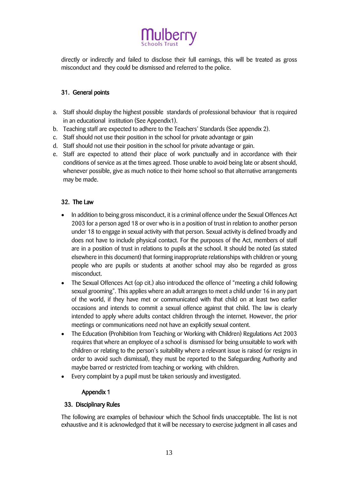

directly or indirectly and failed to disclose their full earnings, this will be treated as gross misconduct and they could be dismissed and referred to the police.

# 31. General points

- a. Staff should display the highest possible standards of professional behaviour that is required in an educational institution (See Appendix1).
- b. Teaching staff are expected to adhere to the Teachers' Standards (See appendix 2).
- c. Staff should not use their position in the school for private advantage or gain
- d. Staff should not use their position in the school for private advantage or gain.
- e. Staff are expected to attend their place of work punctually and in accordance with their conditions of service as at the times agreed. Those unable to avoid being late or absent should, whenever possible, give as much notice to their home school so that alternative arrangements may be made.

#### 32. The Law

- In addition to being gross misconduct, it is a criminal offence under the Sexual Offences Act 2003 for a person aged 18 or over who is in a position of trust in relation to another person under 18 to engage in sexual activity with that person. Sexual activity is defined broadly and does not have to include physical contact. For the purposes of the Act, members of staff are in a position of trust in relations to pupils at the school. It should be noted (as stated elsewhere in this document) that forming inappropriate relationships with children or young people who are pupils or students at another school may also be regarded as gross misconduct.
- The Sexual Offences Act (op cit.) also introduced the offence of "meeting a child following sexual grooming". This applies where an adult arranges to meet a child under 16 in any part of the world, if they have met or communicated with that child on at least two earlier occasions and intends to commit a sexual offence against that child. The law is clearly intended to apply where adults contact children through the internet. However, the prior meetings or communications need not have an explicitly sexual content.
- The Education (Prohibition from Teaching or Working with Children) Regulations Act 2003 requires that where an employee of a school is dismissed for being unsuitable to work with children or relating to the person's suitability where a relevant issue is raised (or resigns in order to avoid such dismissal), they must be reported to the Safeguarding Authority and maybe barred or restricted from teaching or working with children.
- Every complaint by a pupil must be taken seriously and investigated.

#### Appendix 1

#### 33. Disciplinary Rules

The following are examples of behaviour which the School finds unacceptable. The list is not exhaustive and it is acknowledged that it will be necessary to exercise judgment in all cases and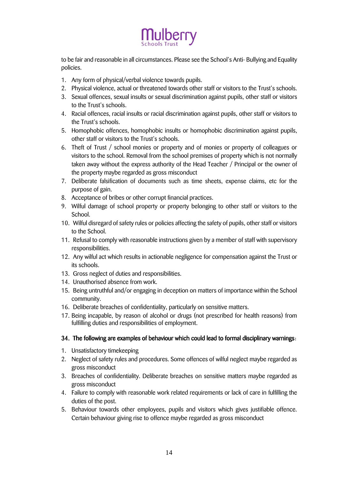

to be fair and reasonable in all circumstances. Please see the School's Anti- Bullying and Equality policies.

- 1. Any form of physical/verbal violence towards pupils.
- 2. Physical violence, actual or threatened towards other staff or visitors to the Trust's schools.
- 3. Sexual offences, sexual insults or sexual discrimination against pupils, other staff or visitors to the Trust's schools.
- 4. Racial offences, racial insults or racial discrimination against pupils, other staff or visitors to the Trust's schools.
- 5. Homophobic offences, homophobic insults or homophobic discrimination against pupils, other staff or visitors to the Trust's schools.
- 6. Theft of Trust / school monies or property and of monies or property of colleagues or visitors to the school. Removal from the school premises of property which is not normally taken away without the express authority of the Head Teacher / Principal or the owner of the property maybe regarded as gross misconduct
- 7. Deliberate falsification of documents such as time sheets, expense claims, etc for the purpose of gain.
- 8. Acceptance of bribes or other corrupt financial practices.
- 9. Wilful damage of school property or property belonging to other staff or visitors to the School.
- 10. Wilful disregard of safety rules or policies affecting the safety of pupils, other staff or visitors to the School.
- 11. Refusal to comply with reasonable instructions given by a member of staff with supervisory responsibilities.
- 12. Any wilful act which results in actionable negligence for compensation against the Trust or its schools.
- 13. Gross neglect of duties and responsibilities.
- 14. Unauthorised absence from work.
- 15. Being untruthful and/or engaging in deception on matters of importance within the School community.
- 16. Deliberate breaches of confidentiality, particularly on sensitive matters.
- 17. Being incapable, by reason of alcohol or drugs (not prescribed for health reasons) from fulfilling duties and responsibilities of employment.

# 34. The following are examples of behaviour which could lead to formal disciplinary warnings:

- 1. Unsatisfactory timekeeping
- 2. Neglect of safety rules and procedures. Some offences of wilful neglect maybe regarded as gross misconduct
- 3. Breaches of confidentiality. Deliberate breaches on sensitive matters maybe regarded as gross misconduct
- 4. Failure to comply with reasonable work related requirements or lack of care in fulfilling the duties of the post.
- 5. Behaviour towards other employees, pupils and visitors which gives justifiable offence. Certain behaviour giving rise to offence maybe regarded as gross misconduct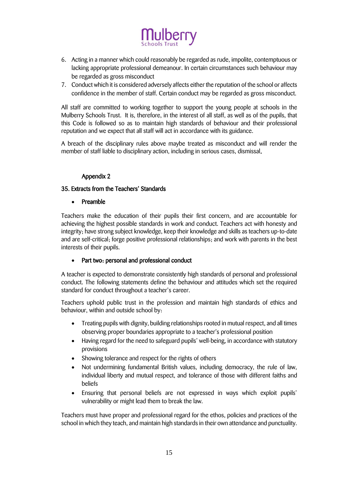

- 6. Acting in a manner which could reasonably be regarded as rude, impolite, contemptuous or lacking appropriate professional demeanour. In certain circumstances such behaviour may be regarded as gross misconduct
- 7. Conduct which it is considered adversely affects either the reputation of the school or affects confidence in the member of staff. Certain conduct may be regarded as gross misconduct.

All staff are committed to working together to support the young people at schools in the Mulberry Schools Trust. It is, therefore, in the interest of all staff, as well as of the pupils, that this Code is followed so as to maintain high standards of behaviour and their professional reputation and we expect that all staff will act in accordance with its guidance.

A breach of the disciplinary rules above maybe treated as misconduct and will render the member of staff liable to disciplinary action, including in serious cases, dismissal.

#### Appendix 2

#### 35. Extracts from the Teachers' Standards

Preamble

Teachers make the education of their pupils their first concern, and are accountable for achieving the highest possible standards in work and conduct. Teachers act with honesty and integrity; have strong subject knowledge, keep their knowledge and skills as teachers up-to-date and are self-critical; forge positive professional relationships; and work with parents in the best interests of their pupils.

#### • Part two: personal and professional conduct

A teacher is expected to demonstrate consistently high standards of personal and professional conduct. The following statements define the behaviour and attitudes which set the required standard for conduct throughout a teacher's career.

Teachers uphold public trust in the profession and maintain high standards of ethics and behaviour, within and outside school by:

- Treating pupils with dignity, building relationships rooted in mutual respect, and all times observing proper boundaries appropriate to a teacher's professional position
- Having regard for the need to safeguard pupils' well-being, in accordance with statutory provisions
- Showing tolerance and respect for the rights of others
- Not undermining fundamental British values, including democracy, the rule of law, individual liberty and mutual respect, and tolerance of those with different faiths and beliefs
- Ensuring that personal beliefs are not expressed in ways which exploit pupils' vulnerability or might lead them to break the law.

Teachers must have proper and professional regard for the ethos, policies and practices of the school in which they teach, and maintain high standards in their own attendance and punctuality.